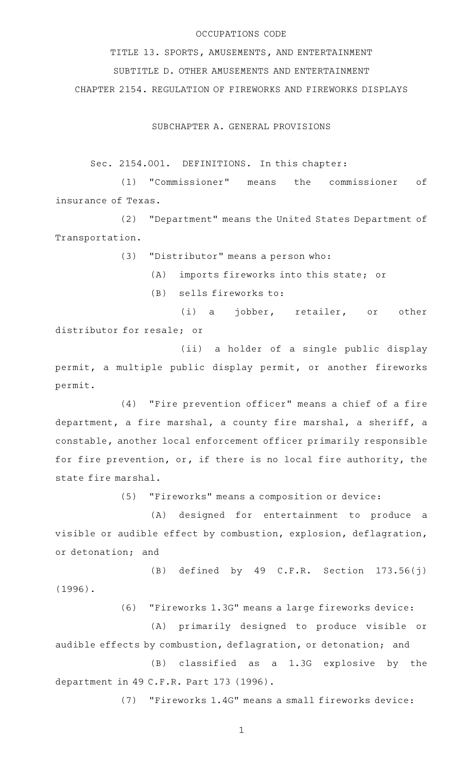# OCCUPATIONS CODE

TITLE 13. SPORTS, AMUSEMENTS, AND ENTERTAINMENT SUBTITLE D. OTHER AMUSEMENTS AND ENTERTAINMENT CHAPTER 2154. REGULATION OF FIREWORKS AND FIREWORKS DISPLAYS

SUBCHAPTER A. GENERAL PROVISIONS

Sec. 2154.001. DEFINITIONS. In this chapter:

(1) "Commissioner" means the commissioner of insurance of Texas.

(2) "Department" means the United States Department of Transportation.

(3) "Distributor" means a person who:

(A) imports fireworks into this state; or

(B) sells fireworks to:

(i) a jobber, retailer, or other distributor for resale; or

(ii) a holder of a single public display permit, a multiple public display permit, or another fireworks permit.

(4) "Fire prevention officer" means a chief of a fire department, a fire marshal, a county fire marshal, a sheriff, a constable, another local enforcement officer primarily responsible for fire prevention, or, if there is no local fire authority, the state fire marshal.

(5) "Fireworks" means a composition or device:

(A) designed for entertainment to produce a visible or audible effect by combustion, explosion, deflagration, or detonation; and

 $(B)$  defined by 49 C.F.R. Section 173.56(j) (1996).

(6) "Fireworks 1.3G" means a large fireworks device:

(A) primarily designed to produce visible or audible effects by combustion, deflagration, or detonation; and

 $(B)$  classified as a 1.3G explosive by the department in 49 C.F.R. Part 173 (1996).

(7) "Fireworks 1.4G" means a small fireworks device: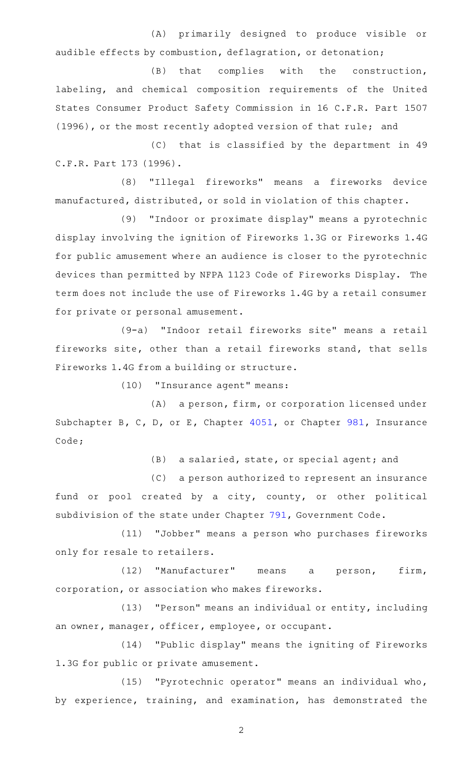(A) primarily designed to produce visible or audible effects by combustion, deflagration, or detonation;

(B) that complies with the construction, labeling, and chemical composition requirements of the United States Consumer Product Safety Commission in 16 C.F.R. Part 1507 (1996), or the most recently adopted version of that rule; and

(C) that is classified by the department in 49 C.F.R. Part 173 (1996).

(8) "Illegal fireworks" means a fireworks device manufactured, distributed, or sold in violation of this chapter.

(9) "Indoor or proximate display" means a pyrotechnic display involving the ignition of Fireworks 1.3G or Fireworks 1.4G for public amusement where an audience is closer to the pyrotechnic devices than permitted by NFPA 1123 Code of Fireworks Display. The term does not include the use of Fireworks 1.4G by a retail consumer for private or personal amusement.

(9-a) "Indoor retail fireworks site" means a retail fireworks site, other than a retail fireworks stand, that sells Fireworks 1.4G from a building or structure.

(10) "Insurance agent" means:

(A) a person, firm, or corporation licensed under Subchapter B, C, D, or E, Chapter [4051,](http://www.statutes.legis.state.tx.us/GetStatute.aspx?Code=IN&Value=4051) or Chapter [981](http://www.statutes.legis.state.tx.us/GetStatute.aspx?Code=IN&Value=981), Insurance Code;

(B) a salaried, state, or special agent; and

(C) a person authorized to represent an insurance fund or pool created by a city, county, or other political subdivision of the state under Chapter [791,](http://www.statutes.legis.state.tx.us/GetStatute.aspx?Code=GV&Value=791) Government Code.

(11) "Jobber" means a person who purchases fireworks only for resale to retailers.

(12) "Manufacturer" means a person, firm, corporation, or association who makes fireworks.

(13) "Person" means an individual or entity, including an owner, manager, officer, employee, or occupant.

(14) "Public display" means the igniting of Fireworks 1.3G for public or private amusement.

(15) "Pyrotechnic operator" means an individual who, by experience, training, and examination, has demonstrated the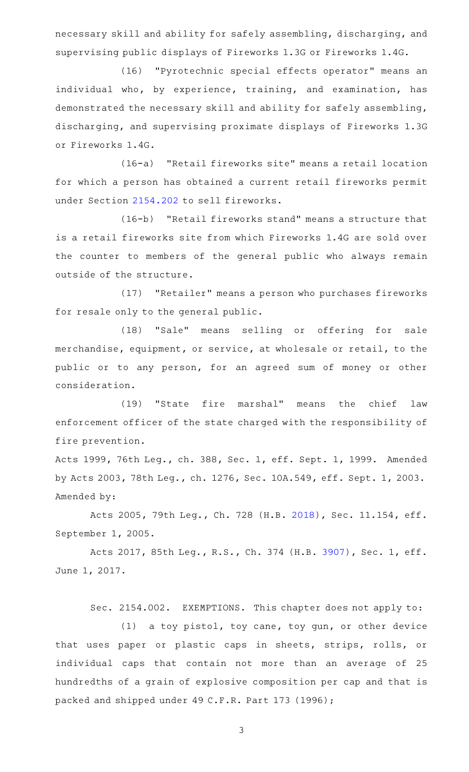necessary skill and ability for safely assembling, discharging, and supervising public displays of Fireworks 1.3G or Fireworks 1.4G.

(16) "Pyrotechnic special effects operator" means an individual who, by experience, training, and examination, has demonstrated the necessary skill and ability for safely assembling, discharging, and supervising proximate displays of Fireworks 1.3G or Fireworks 1.4G.

(16-a) "Retail fireworks site" means a retail location for which a person has obtained a current retail fireworks permit under Section [2154.202](http://www.statutes.legis.state.tx.us/GetStatute.aspx?Code=OC&Value=2154.202) to sell fireworks.

 $(16-b)$  "Retail fireworks stand" means a structure that is a retail fireworks site from which Fireworks 1.4G are sold over the counter to members of the general public who always remain outside of the structure.

(17) "Retailer" means a person who purchases fireworks for resale only to the general public.

(18) "Sale" means selling or offering for sale merchandise, equipment, or service, at wholesale or retail, to the public or to any person, for an agreed sum of money or other consideration.

(19) "State fire marshal" means the chief law enforcement officer of the state charged with the responsibility of fire prevention.

Acts 1999, 76th Leg., ch. 388, Sec. 1, eff. Sept. 1, 1999. Amended by Acts 2003, 78th Leg., ch. 1276, Sec. 10A.549, eff. Sept. 1, 2003. Amended by:

Acts 2005, 79th Leg., Ch. 728 (H.B. [2018\)](http://www.legis.state.tx.us/tlodocs/79R/billtext/html/HB02018F.HTM), Sec. 11.154, eff. September 1, 2005.

Acts 2017, 85th Leg., R.S., Ch. 374 (H.B. [3907](http://www.legis.state.tx.us/tlodocs/85R/billtext/html/HB03907F.HTM)), Sec. 1, eff. June 1, 2017.

Sec. 2154.002. EXEMPTIONS. This chapter does not apply to:

 $(1)$  a toy pistol, toy cane, toy gun, or other device that uses paper or plastic caps in sheets, strips, rolls, or individual caps that contain not more than an average of 25 hundredths of a grain of explosive composition per cap and that is packed and shipped under 49 C.F.R. Part 173 (1996);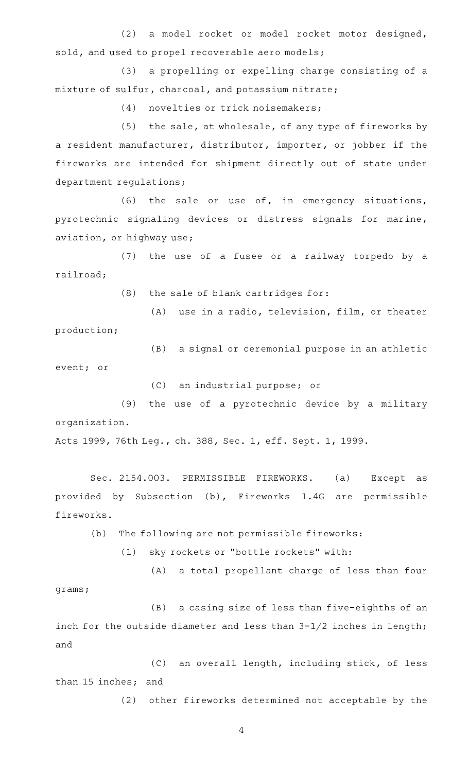(2) a model rocket or model rocket motor designed, sold, and used to propel recoverable aero models;

(3) a propelling or expelling charge consisting of a mixture of sulfur, charcoal, and potassium nitrate;

(4) novelties or trick noisemakers;

 $(5)$  the sale, at wholesale, of any type of fireworks by a resident manufacturer, distributor, importer, or jobber if the fireworks are intended for shipment directly out of state under department regulations;

(6) the sale or use of, in emergency situations, pyrotechnic signaling devices or distress signals for marine, aviation, or highway use;

(7) the use of a fusee or a railway torpedo by a railroad;

 $(8)$  the sale of blank cartridges for:

 $(A)$  use in a radio, television, film, or theater production;

(B) a signal or ceremonial purpose in an athletic event; or

(C) an industrial purpose; or

(9) the use of a pyrotechnic device by a military organization.

Acts 1999, 76th Leg., ch. 388, Sec. 1, eff. Sept. 1, 1999.

Sec. 2154.003. PERMISSIBLE FIREWORKS. (a) Except as provided by Subsection (b), Fireworks 1.4G are permissible fireworks.

(b) The following are not permissible fireworks:

(1) sky rockets or "bottle rockets" with:

(A) a total propellant charge of less than four grams;

(B) a casing size of less than five-eighths of an inch for the outside diameter and less than 3-1/2 inches in length; and

(C) an overall length, including stick, of less than 15 inches; and

(2) other fireworks determined not acceptable by the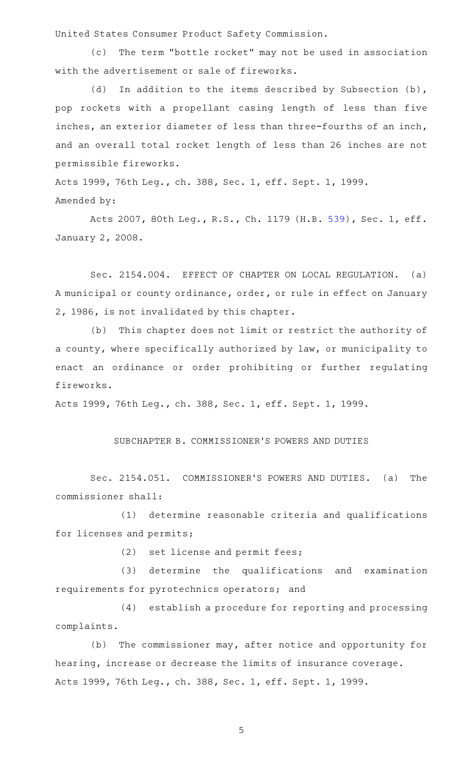United States Consumer Product Safety Commission.

(c) The term "bottle rocket" may not be used in association with the advertisement or sale of fireworks.

(d) In addition to the items described by Subsection (b), pop rockets with a propellant casing length of less than five inches, an exterior diameter of less than three-fourths of an inch, and an overall total rocket length of less than 26 inches are not permissible fireworks.

Acts 1999, 76th Leg., ch. 388, Sec. 1, eff. Sept. 1, 1999. Amended by:

Acts 2007, 80th Leg., R.S., Ch. 1179 (H.B. [539](http://www.legis.state.tx.us/tlodocs/80R/billtext/html/HB00539F.HTM)), Sec. 1, eff. January 2, 2008.

Sec. 2154.004. EFFECT OF CHAPTER ON LOCAL REGULATION. (a) A municipal or county ordinance, order, or rule in effect on January 2, 1986, is not invalidated by this chapter.

(b) This chapter does not limit or restrict the authority of a county, where specifically authorized by law, or municipality to enact an ordinance or order prohibiting or further regulating fireworks.

Acts 1999, 76th Leg., ch. 388, Sec. 1, eff. Sept. 1, 1999.

# SUBCHAPTER B. COMMISSIONER 'S POWERS AND DUTIES

Sec. 2154.051. COMMISSIONER'S POWERS AND DUTIES. (a) The commissioner shall:

(1) determine reasonable criteria and qualifications for licenses and permits;

(2) set license and permit fees;

(3) determine the qualifications and examination requirements for pyrotechnics operators; and

(4) establish a procedure for reporting and processing complaints.

(b) The commissioner may, after notice and opportunity for hearing, increase or decrease the limits of insurance coverage. Acts 1999, 76th Leg., ch. 388, Sec. 1, eff. Sept. 1, 1999.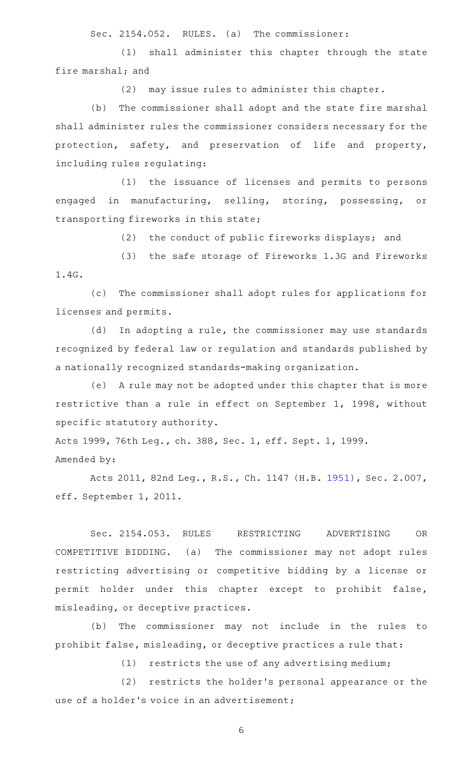Sec. 2154.052. RULES. (a) The commissioner:

(1) shall administer this chapter through the state fire marshal; and

 $(2)$  may issue rules to administer this chapter.

(b) The commissioner shall adopt and the state fire marshal shall administer rules the commissioner considers necessary for the protection, safety, and preservation of life and property, including rules regulating:

(1) the issuance of licenses and permits to persons engaged in manufacturing, selling, storing, possessing, or transporting fireworks in this state;

(2) the conduct of public fireworks displays; and

(3) the safe storage of Fireworks 1.3G and Fireworks 1.4G.

(c) The commissioner shall adopt rules for applications for licenses and permits.

(d) In adopting a rule, the commissioner may use standards recognized by federal law or regulation and standards published by a nationally recognized standards-making organization.

(e) A rule may not be adopted under this chapter that is more restrictive than a rule in effect on September 1, 1998, without specific statutory authority.

Acts 1999, 76th Leg., ch. 388, Sec. 1, eff. Sept. 1, 1999. Amended by:

Acts 2011, 82nd Leg., R.S., Ch. 1147 (H.B. [1951](http://www.legis.state.tx.us/tlodocs/82R/billtext/html/HB01951F.HTM)), Sec. 2.007, eff. September 1, 2011.

Sec. 2154.053. RULES RESTRICTING ADVERTISING OR COMPETITIVE BIDDING. (a) The commissioner may not adopt rules restricting advertising or competitive bidding by a license or permit holder under this chapter except to prohibit false, misleading, or deceptive practices.

(b) The commissioner may not include in the rules to prohibit false, misleading, or deceptive practices a rule that:

 $(1)$  restricts the use of any advertising medium;

(2) restricts the holder's personal appearance or the use of a holder's voice in an advertisement;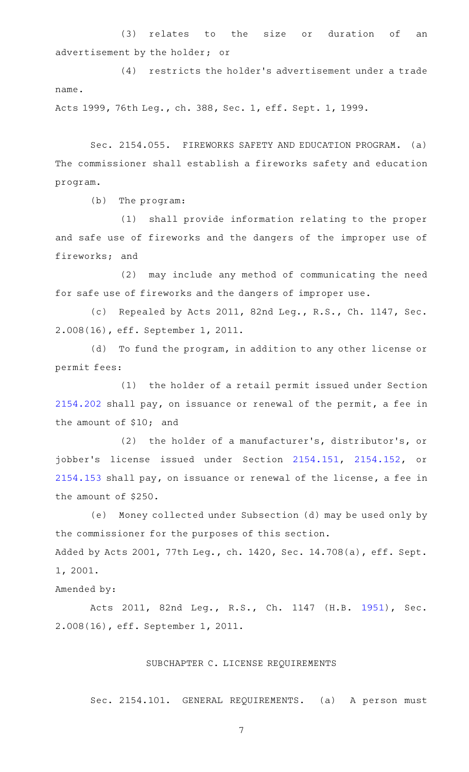(3) relates to the size or duration of an advertisement by the holder; or

(4) restricts the holder's advertisement under a trade name.

Acts 1999, 76th Leg., ch. 388, Sec. 1, eff. Sept. 1, 1999.

Sec. 2154.055. FIREWORKS SAFETY AND EDUCATION PROGRAM. (a) The commissioner shall establish a fireworks safety and education program.

 $(b)$  The program:

(1) shall provide information relating to the proper and safe use of fireworks and the dangers of the improper use of fireworks; and

(2) may include any method of communicating the need for safe use of fireworks and the dangers of improper use.

(c) Repealed by Acts 2011, 82nd Leg., R.S., Ch. 1147, Sec. 2.008(16), eff. September 1, 2011.

(d) To fund the program, in addition to any other license or permit fees:

(1) the holder of a retail permit issued under Section [2154.202](http://www.statutes.legis.state.tx.us/GetStatute.aspx?Code=OC&Value=2154.202) shall pay, on issuance or renewal of the permit, a fee in the amount of \$10; and

(2) the holder of a manufacturer's, distributor's, or jobber's license issued under Section [2154.151](http://www.statutes.legis.state.tx.us/GetStatute.aspx?Code=OC&Value=2154.151), [2154.152,](http://www.statutes.legis.state.tx.us/GetStatute.aspx?Code=OC&Value=2154.152) or [2154.153](http://www.statutes.legis.state.tx.us/GetStatute.aspx?Code=OC&Value=2154.153) shall pay, on issuance or renewal of the license, a fee in the amount of \$250.

(e) Money collected under Subsection (d) may be used only by the commissioner for the purposes of this section. Added by Acts 2001, 77th Leg., ch. 1420, Sec. 14.708(a), eff. Sept. 1, 2001.

Amended by:

Acts 2011, 82nd Leg., R.S., Ch. 1147 (H.B. [1951\)](http://www.legis.state.tx.us/tlodocs/82R/billtext/html/HB01951F.HTM), Sec. 2.008(16), eff. September 1, 2011.

# SUBCHAPTER C. LICENSE REQUIREMENTS

Sec. 2154.101. GENERAL REQUIREMENTS. (a) A person must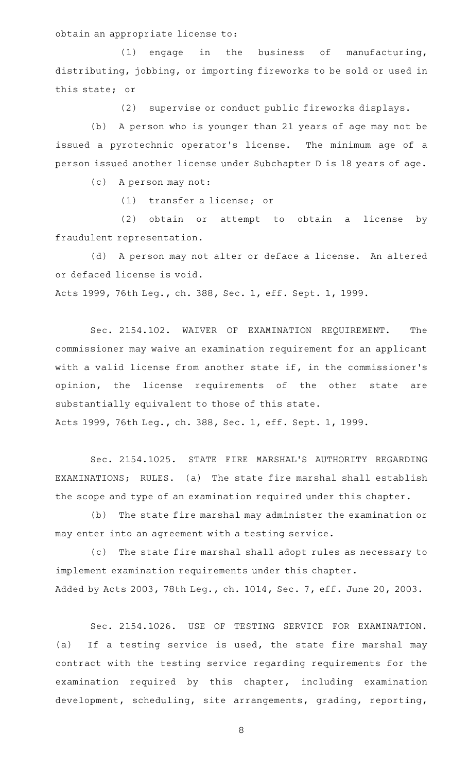obtain an appropriate license to:

 $(1)$  engage in the business of manufacturing, distributing, jobbing, or importing fireworks to be sold or used in this state; or

(2) supervise or conduct public fireworks displays.

(b) A person who is younger than 21 years of age may not be issued a pyrotechnic operator's license. The minimum age of a person issued another license under Subchapter D is 18 years of age.

(c) A person may not:

(1) transfer a license; or

(2) obtain or attempt to obtain a license by fraudulent representation.

(d) A person may not alter or deface a license. An altered or defaced license is void.

Acts 1999, 76th Leg., ch. 388, Sec. 1, eff. Sept. 1, 1999.

Sec. 2154.102. WAIVER OF EXAMINATION REQUIREMENT. The commissioner may waive an examination requirement for an applicant with a valid license from another state if, in the commissioner 's opinion, the license requirements of the other state are substantially equivalent to those of this state. Acts 1999, 76th Leg., ch. 388, Sec. 1, eff. Sept. 1, 1999.

Sec. 2154.1025. STATE FIRE MARSHAL'S AUTHORITY REGARDING EXAMINATIONS; RULES. (a) The state fire marshal shall establish the scope and type of an examination required under this chapter.

(b) The state fire marshal may administer the examination or may enter into an agreement with a testing service.

(c) The state fire marshal shall adopt rules as necessary to implement examination requirements under this chapter. Added by Acts 2003, 78th Leg., ch. 1014, Sec. 7, eff. June 20, 2003.

Sec. 2154.1026. USE OF TESTING SERVICE FOR EXAMINATION. (a) If a testing service is used, the state fire marshal may contract with the testing service regarding requirements for the examination required by this chapter, including examination development, scheduling, site arrangements, grading, reporting,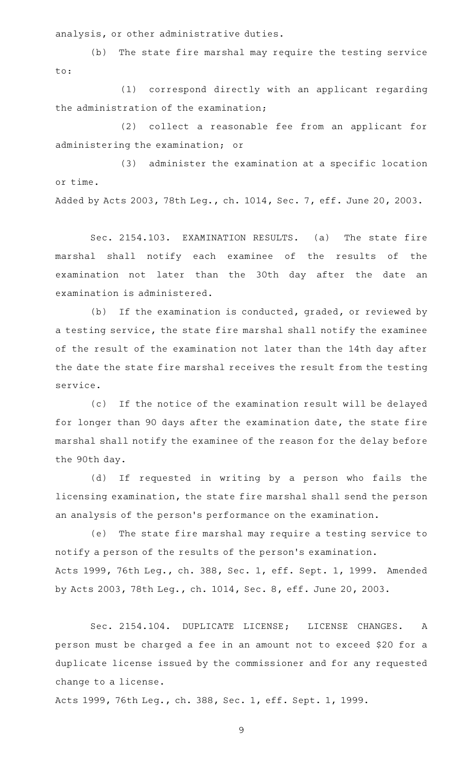analysis, or other administrative duties.

(b) The state fire marshal may require the testing service to:

(1) correspond directly with an applicant regarding the administration of the examination;

(2) collect a reasonable fee from an applicant for administering the examination; or

(3) administer the examination at a specific location or time.

Added by Acts 2003, 78th Leg., ch. 1014, Sec. 7, eff. June 20, 2003.

Sec. 2154.103. EXAMINATION RESULTS. (a) The state fire marshal shall notify each examinee of the results of the examination not later than the 30th day after the date an examination is administered.

(b) If the examination is conducted, graded, or reviewed by a testing service, the state fire marshal shall notify the examinee of the result of the examination not later than the 14th day after the date the state fire marshal receives the result from the testing service.

(c) If the notice of the examination result will be delayed for longer than 90 days after the examination date, the state fire marshal shall notify the examinee of the reason for the delay before the 90th day.

(d) If requested in writing by a person who fails the licensing examination, the state fire marshal shall send the person an analysis of the person 's performance on the examination.

(e) The state fire marshal may require a testing service to notify a person of the results of the person 's examination. Acts 1999, 76th Leg., ch. 388, Sec. 1, eff. Sept. 1, 1999. Amended by Acts 2003, 78th Leg., ch. 1014, Sec. 8, eff. June 20, 2003.

Sec. 2154.104. DUPLICATE LICENSE; LICENSE CHANGES. A person must be charged a fee in an amount not to exceed \$20 for a duplicate license issued by the commissioner and for any requested change to a license.

Acts 1999, 76th Leg., ch. 388, Sec. 1, eff. Sept. 1, 1999.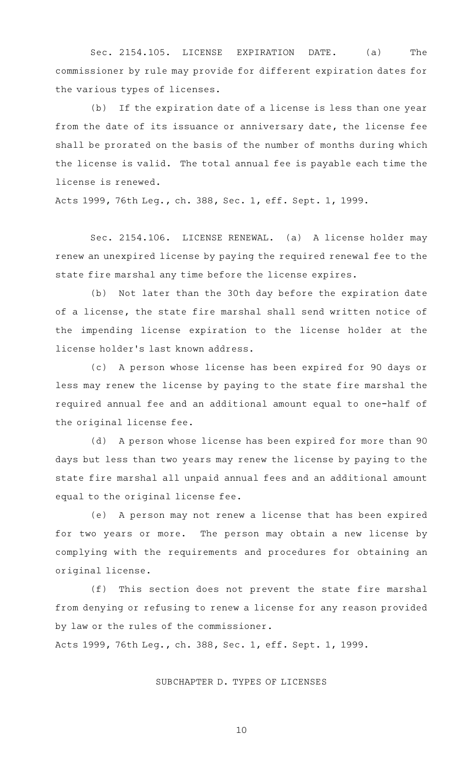Sec. 2154.105. LICENSE EXPIRATION DATE. (a) The commissioner by rule may provide for different expiration dates for the various types of licenses.

(b) If the expiration date of a license is less than one year from the date of its issuance or anniversary date, the license fee shall be prorated on the basis of the number of months during which the license is valid. The total annual fee is payable each time the license is renewed.

Acts 1999, 76th Leg., ch. 388, Sec. 1, eff. Sept. 1, 1999.

Sec. 2154.106. LICENSE RENEWAL. (a) A license holder may renew an unexpired license by paying the required renewal fee to the state fire marshal any time before the license expires.

(b) Not later than the 30th day before the expiration date of a license, the state fire marshal shall send written notice of the impending license expiration to the license holder at the license holder 's last known address.

(c) A person whose license has been expired for 90 days or less may renew the license by paying to the state fire marshal the required annual fee and an additional amount equal to one-half of the original license fee.

(d) A person whose license has been expired for more than 90 days but less than two years may renew the license by paying to the state fire marshal all unpaid annual fees and an additional amount equal to the original license fee.

(e) A person may not renew a license that has been expired for two years or more. The person may obtain a new license by complying with the requirements and procedures for obtaining an original license.

(f) This section does not prevent the state fire marshal from denying or refusing to renew a license for any reason provided by law or the rules of the commissioner.

Acts 1999, 76th Leg., ch. 388, Sec. 1, eff. Sept. 1, 1999.

SUBCHAPTER D. TYPES OF LICENSES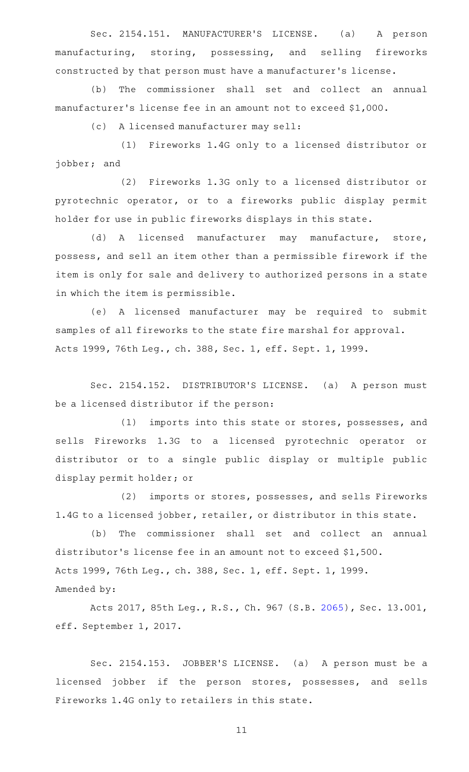Sec. 2154.151. MANUFACTURER'S LICENSE. (a) A person manufacturing, storing, possessing, and selling fireworks constructed by that person must have a manufacturer 's license.

(b) The commissioner shall set and collect an annual manufacturer 's license fee in an amount not to exceed \$1,000.

(c) A licensed manufacturer may sell:

(1) Fireworks 1.4G only to a licensed distributor or jobber; and

(2) Fireworks 1.3G only to a licensed distributor or pyrotechnic operator, or to a fireworks public display permit holder for use in public fireworks displays in this state.

(d) A licensed manufacturer may manufacture, store, possess, and sell an item other than a permissible firework if the item is only for sale and delivery to authorized persons in a state in which the item is permissible.

(e)AAA licensed manufacturer may be required to submit samples of all fireworks to the state fire marshal for approval. Acts 1999, 76th Leg., ch. 388, Sec. 1, eff. Sept. 1, 1999.

Sec. 2154.152. DISTRIBUTOR'S LICENSE. (a) A person must be a licensed distributor if the person:

(1) imports into this state or stores, possesses, and sells Fireworks 1.3G to a licensed pyrotechnic operator or distributor or to a single public display or multiple public display permit holder; or

(2) imports or stores, possesses, and sells Fireworks 1.4G to a licensed jobber, retailer, or distributor in this state.

(b) The commissioner shall set and collect an annual distributor 's license fee in an amount not to exceed \$1,500. Acts 1999, 76th Leg., ch. 388, Sec. 1, eff. Sept. 1, 1999. Amended by:

Acts 2017, 85th Leg., R.S., Ch. 967 (S.B. [2065\)](http://www.legis.state.tx.us/tlodocs/85R/billtext/html/SB02065F.HTM), Sec. 13.001, eff. September 1, 2017.

Sec. 2154.153. JOBBER'S LICENSE. (a) A person must be a licensed jobber if the person stores, possesses, and sells Fireworks 1.4G only to retailers in this state.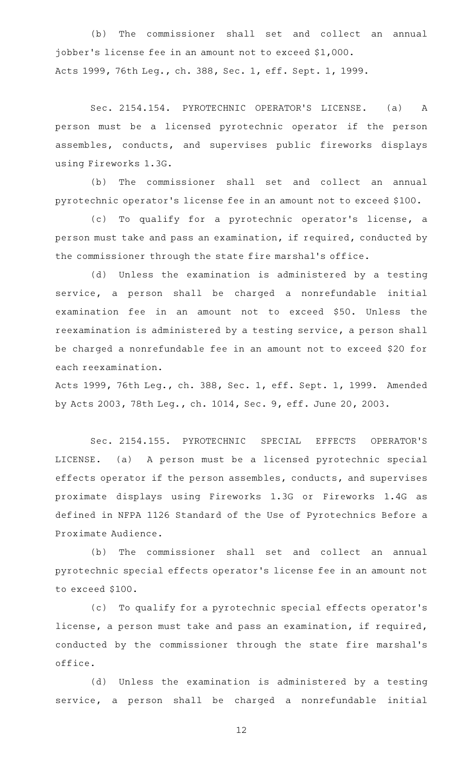(b) The commissioner shall set and collect an annual jobber 's license fee in an amount not to exceed \$1,000. Acts 1999, 76th Leg., ch. 388, Sec. 1, eff. Sept. 1, 1999.

Sec. 2154.154. PYROTECHNIC OPERATOR'S LICENSE. (a) A person must be a licensed pyrotechnic operator if the person assembles, conducts, and supervises public fireworks displays using Fireworks 1.3G.

(b) The commissioner shall set and collect an annual pyrotechnic operator 's license fee in an amount not to exceed \$100.

(c) To qualify for a pyrotechnic operator's license, a person must take and pass an examination, if required, conducted by the commissioner through the state fire marshal 's office.

(d) Unless the examination is administered by a testing service, a person shall be charged a nonrefundable initial examination fee in an amount not to exceed \$50. Unless the reexamination is administered by a testing service, a person shall be charged a nonrefundable fee in an amount not to exceed \$20 for each reexamination.

Acts 1999, 76th Leg., ch. 388, Sec. 1, eff. Sept. 1, 1999. Amended by Acts 2003, 78th Leg., ch. 1014, Sec. 9, eff. June 20, 2003.

Sec. 2154.155. PYROTECHNIC SPECIAL EFFECTS OPERATOR'S LICENSE. (a) A person must be a licensed pyrotechnic special effects operator if the person assembles, conducts, and supervises proximate displays using Fireworks 1.3G or Fireworks 1.4G as defined in NFPA 1126 Standard of the Use of Pyrotechnics Before a Proximate Audience.

(b) The commissioner shall set and collect an annual pyrotechnic special effects operator 's license fee in an amount not to exceed \$100.

(c) To qualify for a pyrotechnic special effects operator's license, a person must take and pass an examination, if required, conducted by the commissioner through the state fire marshal 's office.

(d) Unless the examination is administered by a testing service, a person shall be charged a nonrefundable initial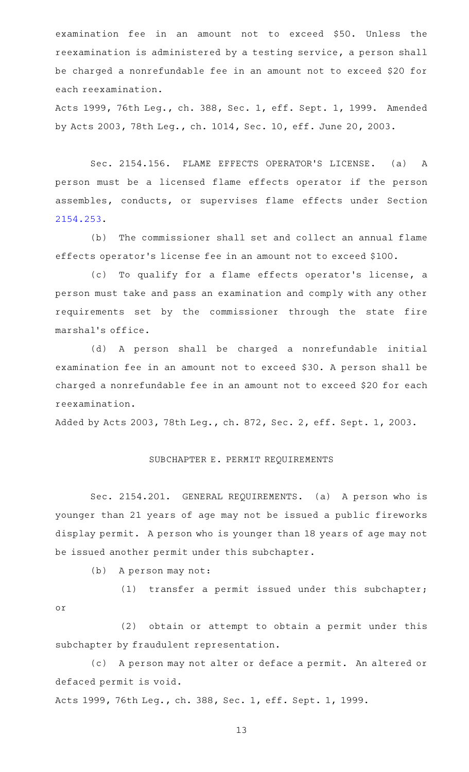examination fee in an amount not to exceed \$50. Unless the reexamination is administered by a testing service, a person shall be charged a nonrefundable fee in an amount not to exceed \$20 for each reexamination.

Acts 1999, 76th Leg., ch. 388, Sec. 1, eff. Sept. 1, 1999. Amended by Acts 2003, 78th Leg., ch. 1014, Sec. 10, eff. June 20, 2003.

Sec. 2154.156. FLAME EFFECTS OPERATOR'S LICENSE. (a) A person must be a licensed flame effects operator if the person assembles, conducts, or supervises flame effects under Section [2154.253](http://www.statutes.legis.state.tx.us/GetStatute.aspx?Code=OC&Value=2154.253).

(b) The commissioner shall set and collect an annual flame effects operator 's license fee in an amount not to exceed \$100.

(c) To qualify for a flame effects operator's license, a person must take and pass an examination and comply with any other requirements set by the commissioner through the state fire marshal 's office.

(d)AAA person shall be charged a nonrefundable initial examination fee in an amount not to exceed \$30. A person shall be charged a nonrefundable fee in an amount not to exceed \$20 for each reexamination.

Added by Acts 2003, 78th Leg., ch. 872, Sec. 2, eff. Sept. 1, 2003.

#### SUBCHAPTER E. PERMIT REQUIREMENTS

Sec. 2154.201. GENERAL REQUIREMENTS. (a) A person who is younger than 21 years of age may not be issued a public fireworks display permit. A person who is younger than 18 years of age may not be issued another permit under this subchapter.

(b) A person may not:

(1) transfer a permit issued under this subchapter; or

(2) obtain or attempt to obtain a permit under this subchapter by fraudulent representation.

(c) A person may not alter or deface a permit. An altered or defaced permit is void.

Acts 1999, 76th Leg., ch. 388, Sec. 1, eff. Sept. 1, 1999.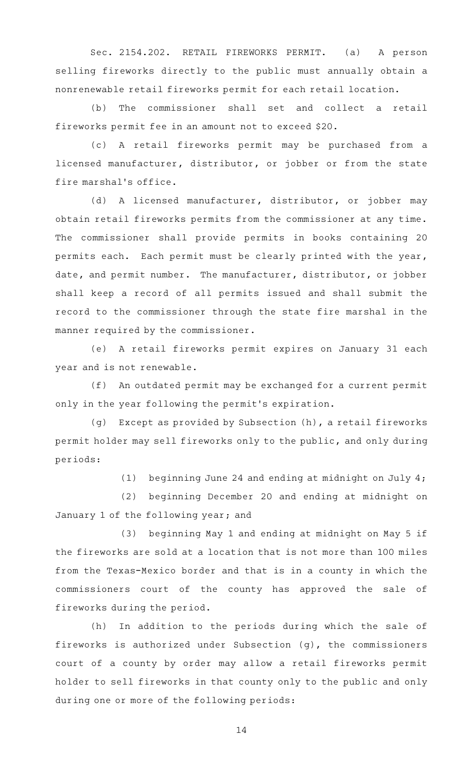Sec. 2154.202. RETAIL FIREWORKS PERMIT. (a) A person selling fireworks directly to the public must annually obtain a nonrenewable retail fireworks permit for each retail location.

(b) The commissioner shall set and collect a retail fireworks permit fee in an amount not to exceed \$20.

(c)AAA retail fireworks permit may be purchased from a licensed manufacturer, distributor, or jobber or from the state fire marshal 's office.

(d) A licensed manufacturer, distributor, or jobber may obtain retail fireworks permits from the commissioner at any time. The commissioner shall provide permits in books containing 20 permits each. Each permit must be clearly printed with the year, date, and permit number. The manufacturer, distributor, or jobber shall keep a record of all permits issued and shall submit the record to the commissioner through the state fire marshal in the manner required by the commissioner.

(e) A retail fireworks permit expires on January 31 each year and is not renewable.

(f) An outdated permit may be exchanged for a current permit only in the year following the permit 's expiration.

(g) Except as provided by Subsection (h), a retail fireworks permit holder may sell fireworks only to the public, and only during periods:

(1) beginning June 24 and ending at midnight on July  $4$ ;

(2) beginning December 20 and ending at midnight on January 1 of the following year; and

(3) beginning May 1 and ending at midnight on May 5 if the fireworks are sold at a location that is not more than 100 miles from the Texas-Mexico border and that is in a county in which the commissioners court of the county has approved the sale of fireworks during the period.

(h) In addition to the periods during which the sale of fireworks is authorized under Subsection (g), the commissioners court of a county by order may allow a retail fireworks permit holder to sell fireworks in that county only to the public and only during one or more of the following periods: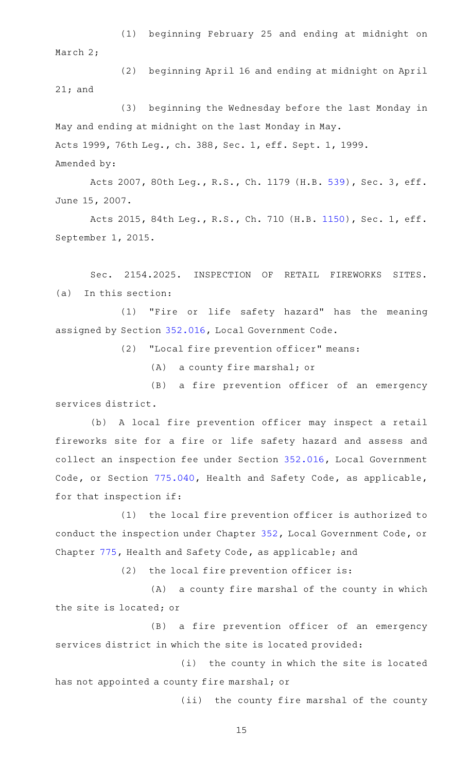(1) beginning February 25 and ending at midnight on March 2;

(2) beginning April 16 and ending at midnight on April 21; and

(3) beginning the Wednesday before the last Monday in May and ending at midnight on the last Monday in May. Acts 1999, 76th Leg., ch. 388, Sec. 1, eff. Sept. 1, 1999. Amended by:

Acts 2007, 80th Leg., R.S., Ch. 1179 (H.B. [539](http://www.legis.state.tx.us/tlodocs/80R/billtext/html/HB00539F.HTM)), Sec. 3, eff. June 15, 2007.

Acts 2015, 84th Leg., R.S., Ch. 710 (H.B. [1150](http://www.legis.state.tx.us/tlodocs/84R/billtext/html/HB01150F.HTM)), Sec. 1, eff. September 1, 2015.

Sec. 2154.2025. INSPECTION OF RETAIL FIREWORKS SITES.  $(a)$  In this section:

(1) "Fire or life safety hazard" has the meaning assigned by Section [352.016](http://www.statutes.legis.state.tx.us/GetStatute.aspx?Code=LG&Value=352.016), Local Government Code.

(2) "Local fire prevention officer" means:

(A) a county fire marshal; or

(B) a fire prevention officer of an emergency services district.

(b) A local fire prevention officer may inspect a retail fireworks site for a fire or life safety hazard and assess and collect an inspection fee under Section [352.016](http://www.statutes.legis.state.tx.us/GetStatute.aspx?Code=LG&Value=352.016), Local Government Code, or Section [775.040](http://www.statutes.legis.state.tx.us/GetStatute.aspx?Code=HS&Value=775.040), Health and Safety Code, as applicable, for that inspection if:

(1) the local fire prevention officer is authorized to conduct the inspection under Chapter [352,](http://www.statutes.legis.state.tx.us/GetStatute.aspx?Code=LG&Value=352) Local Government Code, or Chapter [775,](http://www.statutes.legis.state.tx.us/GetStatute.aspx?Code=HS&Value=775) Health and Safety Code, as applicable; and

 $(2)$  the local fire prevention officer is:

(A) a county fire marshal of the county in which the site is located; or

(B) a fire prevention officer of an emergency services district in which the site is located provided:

(i) the county in which the site is located has not appointed a county fire marshal; or

(ii) the county fire marshal of the county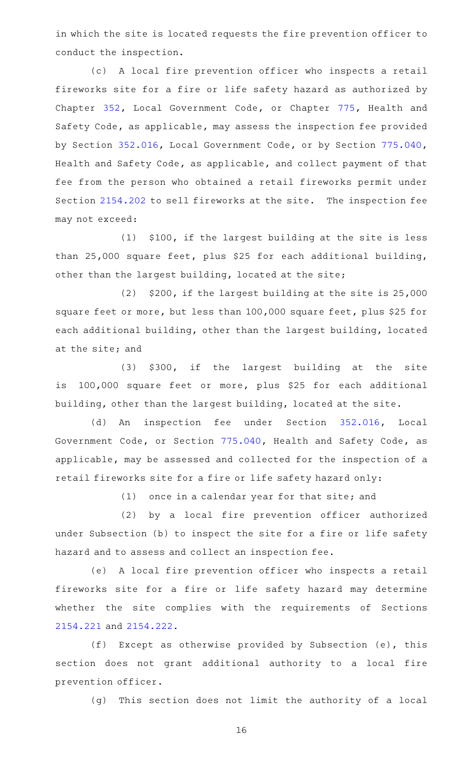in which the site is located requests the fire prevention officer to conduct the inspection.

(c)AAA local fire prevention officer who inspects a retail fireworks site for a fire or life safety hazard as authorized by Chapter [352](http://www.statutes.legis.state.tx.us/GetStatute.aspx?Code=LG&Value=352), Local Government Code, or Chapter [775](http://www.statutes.legis.state.tx.us/GetStatute.aspx?Code=HS&Value=775), Health and Safety Code, as applicable, may assess the inspection fee provided by Section [352.016,](http://www.statutes.legis.state.tx.us/GetStatute.aspx?Code=LG&Value=352.016) Local Government Code, or by Section [775.040](http://www.statutes.legis.state.tx.us/GetStatute.aspx?Code=HS&Value=775.040), Health and Safety Code, as applicable, and collect payment of that fee from the person who obtained a retail fireworks permit under Section [2154.202](http://www.statutes.legis.state.tx.us/GetStatute.aspx?Code=OC&Value=2154.202) to sell fireworks at the site. The inspection fee may not exceed:

 $(1)$  \$100, if the largest building at the site is less than 25,000 square feet, plus \$25 for each additional building, other than the largest building, located at the site;

 $(2)$  \$200, if the largest building at the site is 25,000 square feet or more, but less than 100,000 square feet, plus \$25 for each additional building, other than the largest building, located at the site; and

(3) \$300, if the largest building at the site is 100,000 square feet or more, plus \$25 for each additional building, other than the largest building, located at the site.

(d) An inspection fee under Section [352.016,](http://www.statutes.legis.state.tx.us/GetStatute.aspx?Code=LG&Value=352.016) Local Government Code, or Section [775.040,](http://www.statutes.legis.state.tx.us/GetStatute.aspx?Code=HS&Value=775.040) Health and Safety Code, as applicable, may be assessed and collected for the inspection of a retail fireworks site for a fire or life safety hazard only:

 $(1)$  once in a calendar year for that site; and

(2) by a local fire prevention officer authorized under Subsection (b) to inspect the site for a fire or life safety hazard and to assess and collect an inspection fee.

(e) A local fire prevention officer who inspects a retail fireworks site for a fire or life safety hazard may determine whether the site complies with the requirements of Sections [2154.221](http://www.statutes.legis.state.tx.us/GetStatute.aspx?Code=OC&Value=2154.221) and [2154.222](http://www.statutes.legis.state.tx.us/GetStatute.aspx?Code=OC&Value=2154.222).

(f) Except as otherwise provided by Subsection (e), this section does not grant additional authority to a local fire prevention officer.

(g) This section does not limit the authority of a local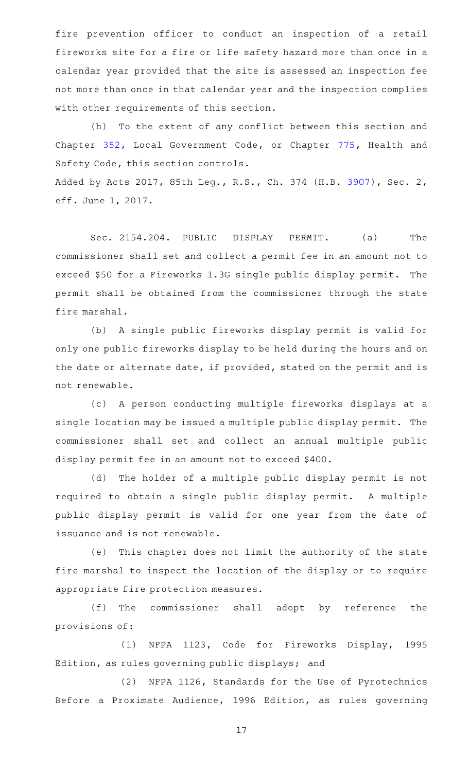fire prevention officer to conduct an inspection of a retail fireworks site for a fire or life safety hazard more than once in a calendar year provided that the site is assessed an inspection fee not more than once in that calendar year and the inspection complies with other requirements of this section.

(h) To the extent of any conflict between this section and Chapter [352](http://www.statutes.legis.state.tx.us/GetStatute.aspx?Code=LG&Value=352), Local Government Code, or Chapter [775](http://www.statutes.legis.state.tx.us/GetStatute.aspx?Code=HS&Value=775), Health and Safety Code, this section controls.

Added by Acts 2017, 85th Leg., R.S., Ch. 374 (H.B. [3907](http://www.legis.state.tx.us/tlodocs/85R/billtext/html/HB03907F.HTM)), Sec. 2, eff. June 1, 2017.

Sec. 2154.204. PUBLIC DISPLAY PERMIT. (a) The commissioner shall set and collect a permit fee in an amount not to exceed \$50 for a Fireworks 1.3G single public display permit. The permit shall be obtained from the commissioner through the state fire marshal.

(b) A single public fireworks display permit is valid for only one public fireworks display to be held during the hours and on the date or alternate date, if provided, stated on the permit and is not renewable.

(c)AAA person conducting multiple fireworks displays at a single location may be issued a multiple public display permit. The commissioner shall set and collect an annual multiple public display permit fee in an amount not to exceed \$400.

(d) The holder of a multiple public display permit is not required to obtain a single public display permit. A multiple public display permit is valid for one year from the date of issuance and is not renewable.

(e) This chapter does not limit the authority of the state fire marshal to inspect the location of the display or to require appropriate fire protection measures.

(f) The commissioner shall adopt by reference the provisions of:

(1) NFPA 1123, Code for Fireworks Display, 1995 Edition, as rules governing public displays; and

(2) NFPA 1126, Standards for the Use of Pyrotechnics Before a Proximate Audience, 1996 Edition, as rules governing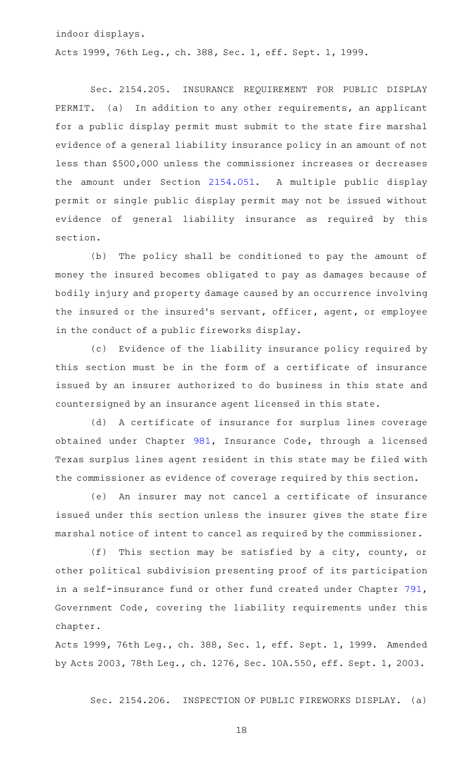indoor displays.

Acts 1999, 76th Leg., ch. 388, Sec. 1, eff. Sept. 1, 1999.

Sec. 2154.205. INSURANCE REQUIREMENT FOR PUBLIC DISPLAY PERMIT. (a) In addition to any other requirements, an applicant for a public display permit must submit to the state fire marshal evidence of a general liability insurance policy in an amount of not less than \$500,000 unless the commissioner increases or decreases the amount under Section [2154.051](http://www.statutes.legis.state.tx.us/GetStatute.aspx?Code=OC&Value=2154.051). A multiple public display permit or single public display permit may not be issued without evidence of general liability insurance as required by this section.

(b) The policy shall be conditioned to pay the amount of money the insured becomes obligated to pay as damages because of bodily injury and property damage caused by an occurrence involving the insured or the insured 's servant, officer, agent, or employee in the conduct of a public fireworks display.

(c) Evidence of the liability insurance policy required by this section must be in the form of a certificate of insurance issued by an insurer authorized to do business in this state and countersigned by an insurance agent licensed in this state.

(d) A certificate of insurance for surplus lines coverage obtained under Chapter [981,](http://www.statutes.legis.state.tx.us/GetStatute.aspx?Code=IN&Value=981) Insurance Code, through a licensed Texas surplus lines agent resident in this state may be filed with the commissioner as evidence of coverage required by this section.

(e) An insurer may not cancel a certificate of insurance issued under this section unless the insurer gives the state fire marshal notice of intent to cancel as required by the commissioner.

(f) This section may be satisfied by a city, county, or other political subdivision presenting proof of its participation in a self-insurance fund or other fund created under Chapter [791](http://www.statutes.legis.state.tx.us/GetStatute.aspx?Code=GV&Value=791), Government Code, covering the liability requirements under this chapter.

Acts 1999, 76th Leg., ch. 388, Sec. 1, eff. Sept. 1, 1999. Amended by Acts 2003, 78th Leg., ch. 1276, Sec. 10A.550, eff. Sept. 1, 2003.

Sec. 2154.206. INSPECTION OF PUBLIC FIREWORKS DISPLAY. (a)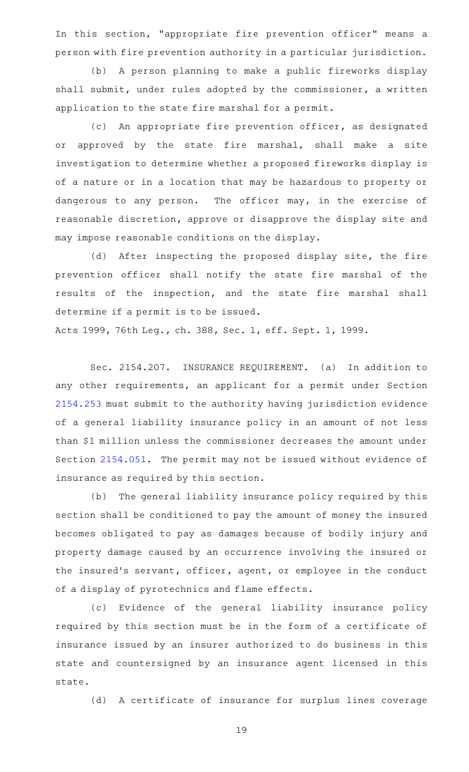In this section, "appropriate fire prevention officer" means a person with fire prevention authority in a particular jurisdiction.

(b) A person planning to make a public fireworks display shall submit, under rules adopted by the commissioner, a written application to the state fire marshal for a permit.

(c) An appropriate fire prevention officer, as designated or approved by the state fire marshal, shall make a site investigation to determine whether a proposed fireworks display is of a nature or in a location that may be hazardous to property or dangerous to any person. The officer may, in the exercise of reasonable discretion, approve or disapprove the display site and may impose reasonable conditions on the display.

(d) After inspecting the proposed display site, the fire prevention officer shall notify the state fire marshal of the results of the inspection, and the state fire marshal shall determine if a permit is to be issued.

Acts 1999, 76th Leg., ch. 388, Sec. 1, eff. Sept. 1, 1999.

Sec. 2154.207. INSURANCE REQUIREMENT. (a) In addition to any other requirements, an applicant for a permit under Section [2154.253](http://www.statutes.legis.state.tx.us/GetStatute.aspx?Code=OC&Value=2154.253) must submit to the authority having jurisdiction evidence of a general liability insurance policy in an amount of not less than \$1 million unless the commissioner decreases the amount under Section [2154.051.](http://www.statutes.legis.state.tx.us/GetStatute.aspx?Code=OC&Value=2154.051) The permit may not be issued without evidence of insurance as required by this section.

(b) The general liability insurance policy required by this section shall be conditioned to pay the amount of money the insured becomes obligated to pay as damages because of bodily injury and property damage caused by an occurrence involving the insured or the insured's servant, officer, agent, or employee in the conduct of a display of pyrotechnics and flame effects.

(c) Evidence of the general liability insurance policy required by this section must be in the form of a certificate of insurance issued by an insurer authorized to do business in this state and countersigned by an insurance agent licensed in this state.

(d) A certificate of insurance for surplus lines coverage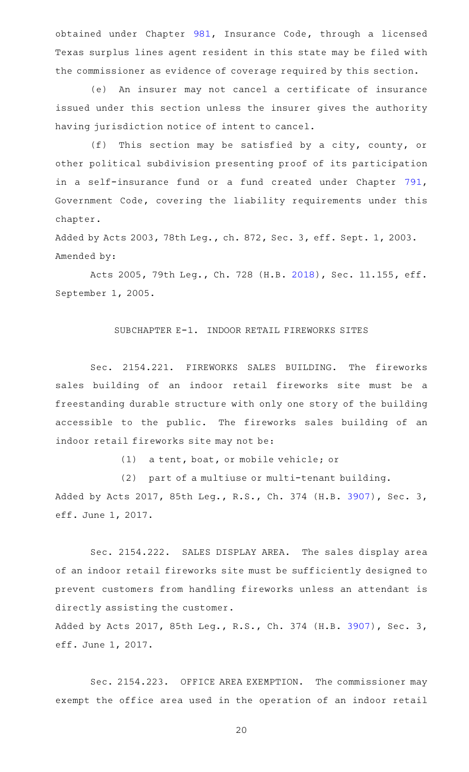obtained under Chapter [981,](http://www.statutes.legis.state.tx.us/GetStatute.aspx?Code=IN&Value=981) Insurance Code, through a licensed Texas surplus lines agent resident in this state may be filed with the commissioner as evidence of coverage required by this section.

(e) An insurer may not cancel a certificate of insurance issued under this section unless the insurer gives the authority having jurisdiction notice of intent to cancel.

(f) This section may be satisfied by a city, county, or other political subdivision presenting proof of its participation in a self-insurance fund or a fund created under Chapter [791](http://www.statutes.legis.state.tx.us/GetStatute.aspx?Code=GV&Value=791), Government Code, covering the liability requirements under this chapter.

Added by Acts 2003, 78th Leg., ch. 872, Sec. 3, eff. Sept. 1, 2003. Amended by:

Acts 2005, 79th Leg., Ch. 728 (H.B. [2018\)](http://www.legis.state.tx.us/tlodocs/79R/billtext/html/HB02018F.HTM), Sec. 11.155, eff. September 1, 2005.

# SUBCHAPTER E-1. INDOOR RETAIL FIREWORKS SITES

Sec. 2154.221. FIREWORKS SALES BUILDING. The fireworks sales building of an indoor retail fireworks site must be a freestanding durable structure with only one story of the building accessible to the public. The fireworks sales building of an indoor retail fireworks site may not be:

(1) a tent, boat, or mobile vehicle; or

(2) part of a multiuse or multi-tenant building. Added by Acts 2017, 85th Leg., R.S., Ch. 374 (H.B. [3907](http://www.legis.state.tx.us/tlodocs/85R/billtext/html/HB03907F.HTM)), Sec. 3, eff. June 1, 2017.

Sec. 2154.222. SALES DISPLAY AREA. The sales display area of an indoor retail fireworks site must be sufficiently designed to prevent customers from handling fireworks unless an attendant is directly assisting the customer.

Added by Acts 2017, 85th Leg., R.S., Ch. 374 (H.B. [3907](http://www.legis.state.tx.us/tlodocs/85R/billtext/html/HB03907F.HTM)), Sec. 3, eff. June 1, 2017.

Sec. 2154.223. OFFICE AREA EXEMPTION. The commissioner may exempt the office area used in the operation of an indoor retail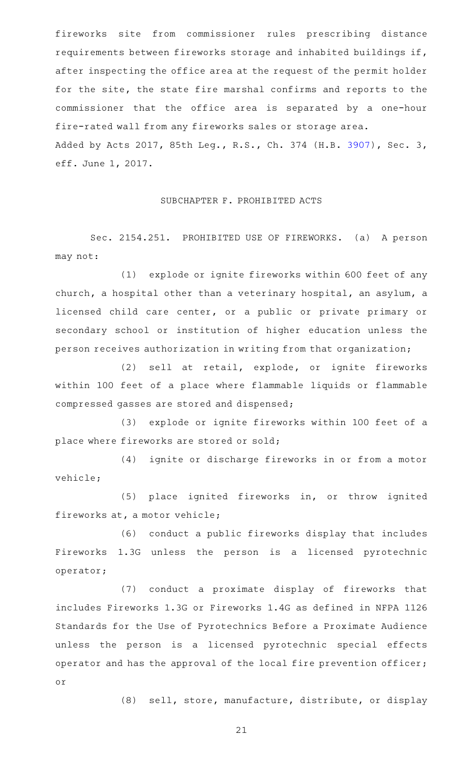fireworks site from commissioner rules prescribing distance requirements between fireworks storage and inhabited buildings if, after inspecting the office area at the request of the permit holder for the site, the state fire marshal confirms and reports to the commissioner that the office area is separated by a one-hour fire-rated wall from any fireworks sales or storage area. Added by Acts 2017, 85th Leg., R.S., Ch. 374 (H.B. [3907](http://www.legis.state.tx.us/tlodocs/85R/billtext/html/HB03907F.HTM)), Sec. 3, eff. June 1, 2017.

#### SUBCHAPTER F. PROHIBITED ACTS

Sec. 2154.251. PROHIBITED USE OF FIREWORKS. (a) A person may not:

(1) explode or ignite fireworks within 600 feet of any church, a hospital other than a veterinary hospital, an asylum, a licensed child care center, or a public or private primary or secondary school or institution of higher education unless the person receives authorization in writing from that organization;

(2) sell at retail, explode, or ignite fireworks within 100 feet of a place where flammable liquids or flammable compressed gasses are stored and dispensed;

(3) explode or ignite fireworks within 100 feet of a place where fireworks are stored or sold;

(4) ignite or discharge fireworks in or from a motor vehicle;

(5) place ignited fireworks in, or throw ignited fireworks at, a motor vehicle;

(6) conduct a public fireworks display that includes Fireworks 1.3G unless the person is a licensed pyrotechnic operator;

(7) conduct a proximate display of fireworks that includes Fireworks 1.3G or Fireworks 1.4G as defined in NFPA 1126 Standards for the Use of Pyrotechnics Before a Proximate Audience unless the person is a licensed pyrotechnic special effects operator and has the approval of the local fire prevention officer; or

(8) sell, store, manufacture, distribute, or display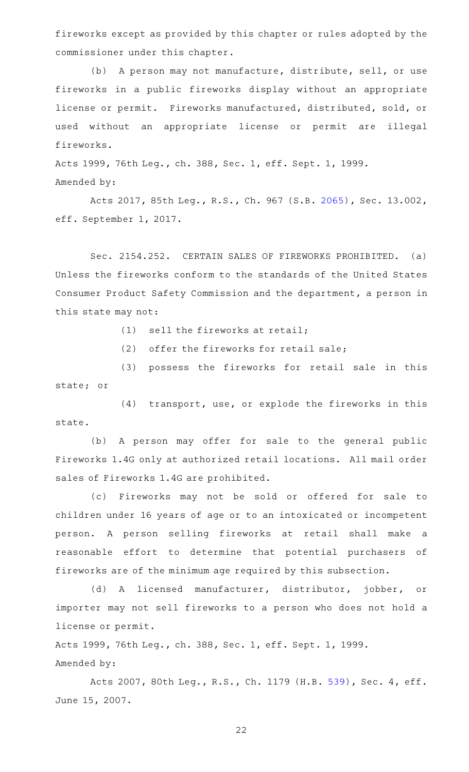fireworks except as provided by this chapter or rules adopted by the commissioner under this chapter.

(b) A person may not manufacture, distribute, sell, or use fireworks in a public fireworks display without an appropriate license or permit. Fireworks manufactured, distributed, sold, or used without an appropriate license or permit are illegal fireworks.

Acts 1999, 76th Leg., ch. 388, Sec. 1, eff. Sept. 1, 1999. Amended by:

Acts 2017, 85th Leg., R.S., Ch. 967 (S.B. [2065\)](http://www.legis.state.tx.us/tlodocs/85R/billtext/html/SB02065F.HTM), Sec. 13.002, eff. September 1, 2017.

Sec. 2154.252. CERTAIN SALES OF FIREWORKS PROHIBITED. (a) Unless the fireworks conform to the standards of the United States Consumer Product Safety Commission and the department, a person in this state may not:

 $(1)$  sell the fireworks at retail;

(2) offer the fireworks for retail sale;

(3) possess the fireworks for retail sale in this state; or

(4) transport, use, or explode the fireworks in this state.

(b) A person may offer for sale to the general public Fireworks 1.4G only at authorized retail locations. All mail order sales of Fireworks 1.4G are prohibited.

(c) Fireworks may not be sold or offered for sale to children under 16 years of age or to an intoxicated or incompetent person. A person selling fireworks at retail shall make a reasonable effort to determine that potential purchasers of fireworks are of the minimum age required by this subsection.

(d) A licensed manufacturer, distributor, jobber, or importer may not sell fireworks to a person who does not hold a license or permit.

Acts 1999, 76th Leg., ch. 388, Sec. 1, eff. Sept. 1, 1999. Amended by:

Acts 2007, 80th Leg., R.S., Ch. 1179 (H.B. [539](http://www.legis.state.tx.us/tlodocs/80R/billtext/html/HB00539F.HTM)), Sec. 4, eff. June 15, 2007.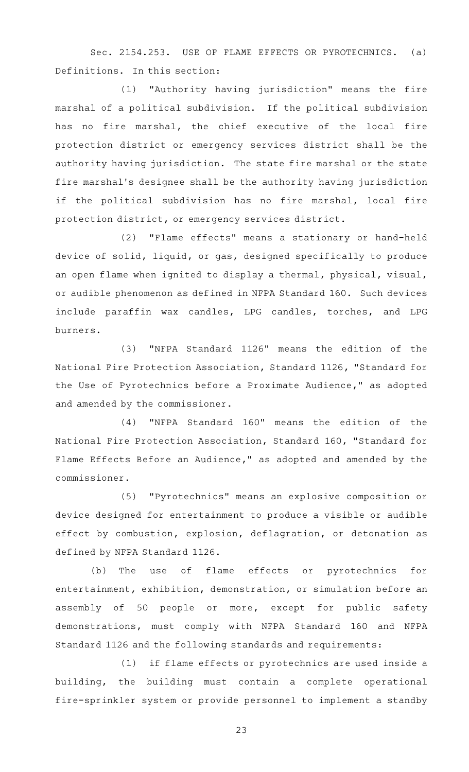Sec. 2154.253. USE OF FLAME EFFECTS OR PYROTECHNICS. (a) Definitions. In this section:

(1) "Authority having jurisdiction" means the fire marshal of a political subdivision. If the political subdivision has no fire marshal, the chief executive of the local fire protection district or emergency services district shall be the authority having jurisdiction. The state fire marshal or the state fire marshal's designee shall be the authority having jurisdiction if the political subdivision has no fire marshal, local fire protection district, or emergency services district.

(2) "Flame effects" means a stationary or hand-held device of solid, liquid, or gas, designed specifically to produce an open flame when ignited to display a thermal, physical, visual, or audible phenomenon as defined in NFPA Standard 160. Such devices include paraffin wax candles, LPG candles, torches, and LPG burners.

(3) "NFPA Standard 1126" means the edition of the National Fire Protection Association, Standard 1126, "Standard for the Use of Pyrotechnics before a Proximate Audience," as adopted and amended by the commissioner.

(4) "NFPA Standard 160" means the edition of the National Fire Protection Association, Standard 160, "Standard for Flame Effects Before an Audience," as adopted and amended by the commissioner.

(5) "Pyrotechnics" means an explosive composition or device designed for entertainment to produce a visible or audible effect by combustion, explosion, deflagration, or detonation as defined by NFPA Standard 1126.

(b) The use of flame effects or pyrotechnics for entertainment, exhibition, demonstration, or simulation before an assembly of 50 people or more, except for public safety demonstrations, must comply with NFPA Standard 160 and NFPA Standard 1126 and the following standards and requirements:

(1) if flame effects or pyrotechnics are used inside a building, the building must contain a complete operational fire-sprinkler system or provide personnel to implement a standby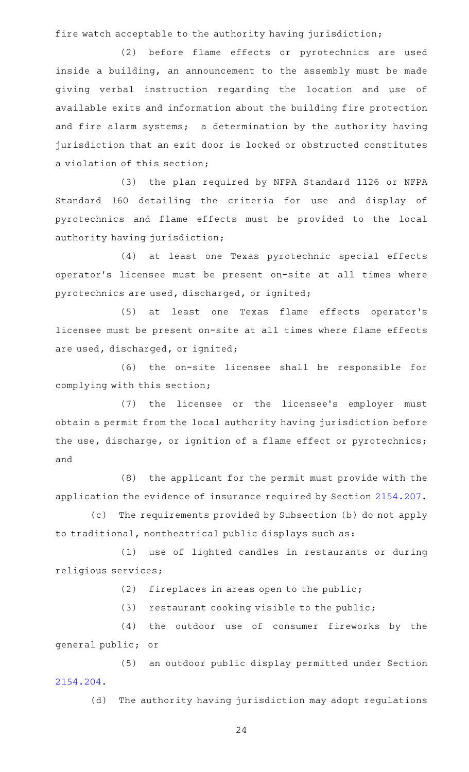fire watch acceptable to the authority having jurisdiction;

(2) before flame effects or pyrotechnics are used inside a building, an announcement to the assembly must be made giving verbal instruction regarding the location and use of available exits and information about the building fire protection and fire alarm systems; a determination by the authority having jurisdiction that an exit door is locked or obstructed constitutes a violation of this section;

(3) the plan required by NFPA Standard 1126 or NFPA Standard 160 detailing the criteria for use and display of pyrotechnics and flame effects must be provided to the local authority having jurisdiction;

(4) at least one Texas pyrotechnic special effects operator 's licensee must be present on-site at all times where pyrotechnics are used, discharged, or ignited;

(5) at least one Texas flame effects operator's licensee must be present on-site at all times where flame effects are used, discharged, or ignited;

(6) the on-site licensee shall be responsible for complying with this section;

(7) the licensee or the licensee's employer must obtain a permit from the local authority having jurisdiction before the use, discharge, or ignition of a flame effect or pyrotechnics; and

(8) the applicant for the permit must provide with the application the evidence of insurance required by Section [2154.207](http://www.statutes.legis.state.tx.us/GetStatute.aspx?Code=OC&Value=2154.207).

(c) The requirements provided by Subsection (b) do not apply to traditional, nontheatrical public displays such as:

(1) use of lighted candles in restaurants or during religious services;

 $(2)$  fireplaces in areas open to the public;

 $(3)$  restaurant cooking visible to the public;

(4) the outdoor use of consumer fireworks by the general public; or

(5) an outdoor public display permitted under Section [2154.204](http://www.statutes.legis.state.tx.us/GetStatute.aspx?Code=OC&Value=2154.204).

(d) The authority having jurisdiction may adopt regulations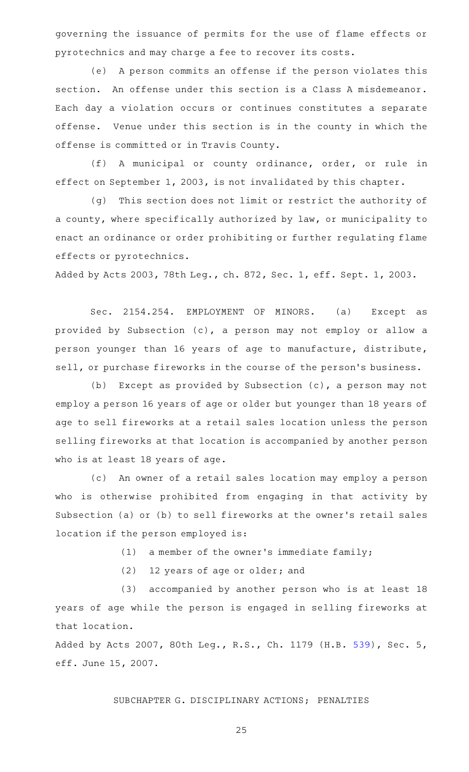governing the issuance of permits for the use of flame effects or pyrotechnics and may charge a fee to recover its costs.

(e) A person commits an offense if the person violates this section. An offense under this section is a Class A misdemeanor. Each day a violation occurs or continues constitutes a separate offense. Venue under this section is in the county in which the offense is committed or in Travis County.

(f) A municipal or county ordinance, order, or rule in effect on September 1, 2003, is not invalidated by this chapter.

(g) This section does not limit or restrict the authority of a county, where specifically authorized by law, or municipality to enact an ordinance or order prohibiting or further regulating flame effects or pyrotechnics.

Added by Acts 2003, 78th Leg., ch. 872, Sec. 1, eff. Sept. 1, 2003.

Sec. 2154.254. EMPLOYMENT OF MINORS. (a) Except as provided by Subsection (c), a person may not employ or allow a person younger than 16 years of age to manufacture, distribute, sell, or purchase fireworks in the course of the person's business.

(b) Except as provided by Subsection  $(c)$ , a person may not employ a person 16 years of age or older but younger than 18 years of age to sell fireworks at a retail sales location unless the person selling fireworks at that location is accompanied by another person who is at least 18 years of age.

(c) An owner of a retail sales location may employ a person who is otherwise prohibited from engaging in that activity by Subsection (a) or (b) to sell fireworks at the owner 's retail sales location if the person employed is:

 $(1)$  a member of the owner's immediate family;

(2) 12 years of age or older; and

(3) accompanied by another person who is at least 18 years of age while the person is engaged in selling fireworks at that location.

Added by Acts 2007, 80th Leg., R.S., Ch. 1179 (H.B. [539](http://www.legis.state.tx.us/tlodocs/80R/billtext/html/HB00539F.HTM)), Sec. 5, eff. June 15, 2007.

# SUBCHAPTER G. DISCIPLINARY ACTIONS; PENALTIES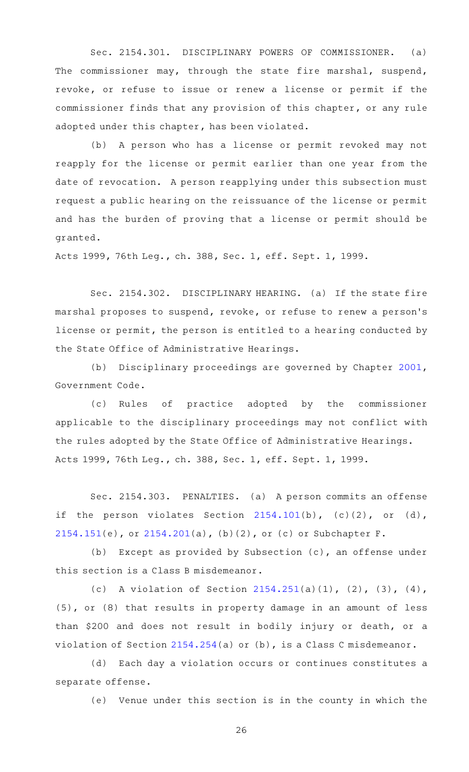Sec. 2154.301. DISCIPLINARY POWERS OF COMMISSIONER. (a) The commissioner may, through the state fire marshal, suspend, revoke, or refuse to issue or renew a license or permit if the commissioner finds that any provision of this chapter, or any rule adopted under this chapter, has been violated.

(b) A person who has a license or permit revoked may not reapply for the license or permit earlier than one year from the date of revocation. A person reapplying under this subsection must request a public hearing on the reissuance of the license or permit and has the burden of proving that a license or permit should be granted.

Acts 1999, 76th Leg., ch. 388, Sec. 1, eff. Sept. 1, 1999.

Sec. 2154.302. DISCIPLINARY HEARING. (a) If the state fire marshal proposes to suspend, revoke, or refuse to renew a person 's license or permit, the person is entitled to a hearing conducted by the State Office of Administrative Hearings.

(b) Disciplinary proceedings are governed by Chapter [2001](http://www.statutes.legis.state.tx.us/GetStatute.aspx?Code=GV&Value=2001), Government Code.

(c) Rules of practice adopted by the commissioner applicable to the disciplinary proceedings may not conflict with the rules adopted by the State Office of Administrative Hearings. Acts 1999, 76th Leg., ch. 388, Sec. 1, eff. Sept. 1, 1999.

Sec. 2154.303. PENALTIES. (a) A person commits an offense if the person violates Section  $2154.101(b)$  $2154.101(b)$ ,  $(c)(2)$ , or  $(d)$ , [2154.151](http://www.statutes.legis.state.tx.us/GetStatute.aspx?Code=OC&Value=2154.151)(e), or [2154.201](http://www.statutes.legis.state.tx.us/GetStatute.aspx?Code=OC&Value=2154.201)(a), (b)(2), or (c) or Subchapter F.

(b) Except as provided by Subsection  $(c)$ , an offense under this section is a Class B misdemeanor.

(c) A violation of Section  $2154.251(a)(1)$  $2154.251(a)(1)$ ,  $(2)$ ,  $(3)$ ,  $(4)$ , (5), or (8) that results in property damage in an amount of less than \$200 and does not result in bodily injury or death, or a violation of Section [2154.254](http://www.statutes.legis.state.tx.us/GetStatute.aspx?Code=OC&Value=2154.254)(a) or (b), is a Class C misdemeanor.

(d) Each day a violation occurs or continues constitutes a separate offense.

(e) Venue under this section is in the county in which the